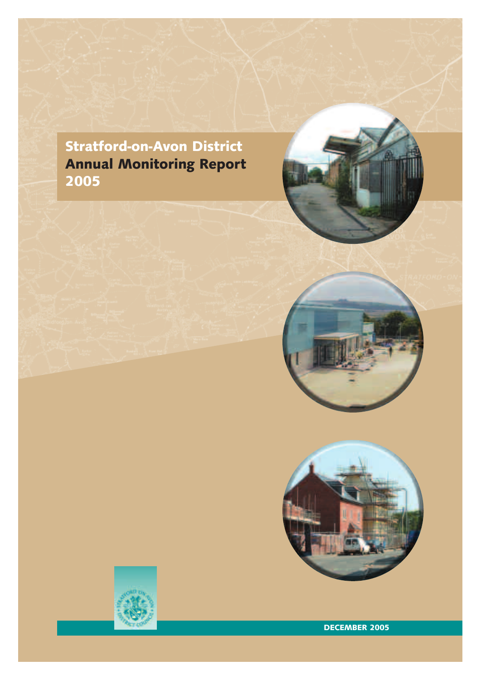



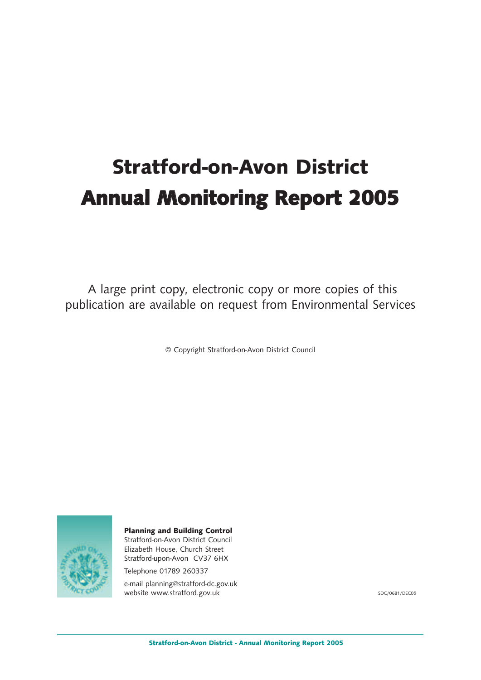# **Stratford-on-Avon District Annual Monitoring Report 2005**

A large print copy, electronic copy or more copies of this publication are available on request from Environmental Services

© Copyright Stratford-on-Avon District Council



**Planning and Building Control** Stratford-on-Avon District Council Elizabeth House, Church Street Stratford-upon-Avon CV37 6HX

Telephone 01789 260337

e-mail planning@stratford-dc.gov.uk website www.stratford.gov.uk

SDC/0681/DEC05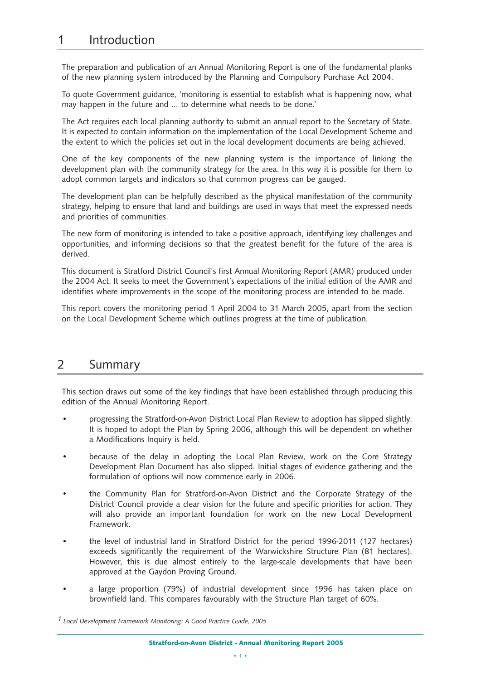## 1 Introduction

The preparation and publication of an Annual Monitoring Report is one of the fundamental planks of the new planning system introduced by the Planning and Compulsory Purchase Act 2004.

To quote Government guidance, 'monitoring is essential to establish what is happening now, what may happen in the future and … to determine what needs to be done.'

The Act requires each local planning authority to submit an annual report to the Secretary of State. It is expected to contain information on the implementation of the Local Development Scheme and the extent to which the policies set out in the local development documents are being achieved.

One of the key components of the new planning system is the importance of linking the development plan with the community strategy for the area. In this way it is possible for them to adopt common targets and indicators so that common progress can be gauged.

The development plan can be helpfully described as the physical manifestation of the community strategy, helping to ensure that land and buildings are used in ways that meet the expressed needs and priorities of communities.

The new form of monitoring is intended to take a positive approach, identifying key challenges and opportunities, and informing decisions so that the greatest benefit for the future of the area is derived.

This document is Stratford District Council's first Annual Monitoring Report (AMR) produced under the 2004 Act. It seeks to meet the Government's expectations of the initial edition of the AMR and identifies where improvements in the scope of the monitoring process are intended to be made.

This report covers the monitoring period 1 April 2004 to 31 March 2005, apart from the section on the Local Development Scheme which outlines progress at the time of publication.

### 2 Summary

This section draws out some of the key findings that have been established through producing this edition of the Annual Monitoring Report.

- progressing the Stratford-on-Avon District Local Plan Review to adoption has slipped slightly. It is hoped to adopt the Plan by Spring 2006, although this will be dependent on whether a Modifications Inquiry is held.
- because of the delay in adopting the Local Plan Review, work on the Core Strategy Development Plan Document has also slipped. Initial stages of evidence gathering and the formulation of options will now commence early in 2006.
- the Community Plan for Stratford-on-Avon District and the Corporate Strategy of the District Council provide a clear vision for the future and specific priorities for action. They will also provide an important foundation for work on the new Local Development Framework.
- the level of industrial land in Stratford District for the period 1996-2011 (127 hectares) exceeds significantly the requirement of the Warwickshire Structure Plan (81 hectares). However, this is due almost entirely to the large-scale developments that have been approved at the Gaydon Proving Ground.
- a large proportion (79%) of industrial development since 1996 has taken place on brownfield land. This compares favourably with the Structure Plan target of 60%.

 $1$  Local Development Framework Monitoring: A Good Practice Guide, 2005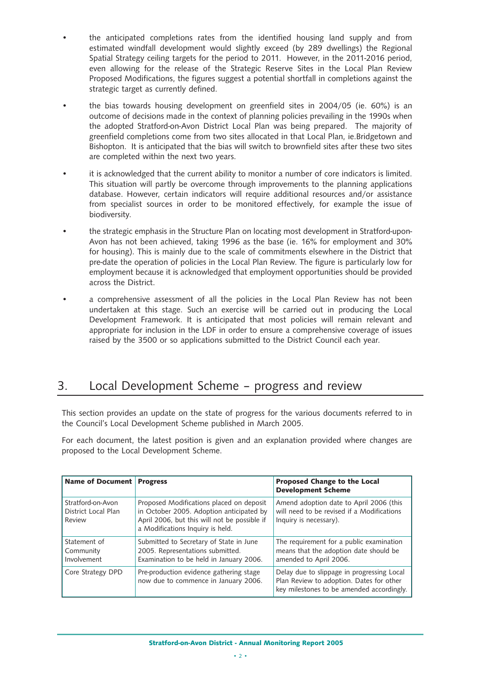- the anticipated completions rates from the identified housing land supply and from estimated windfall development would slightly exceed (by 289 dwellings) the Regional Spatial Strategy ceiling targets for the period to 2011. However, in the 2011-2016 period, even allowing for the release of the Strategic Reserve Sites in the Local Plan Review Proposed Modifications, the figures suggest a potential shortfall in completions against the strategic target as currently defined.
- the bias towards housing development on greenfield sites in 2004/05 (ie. 60%) is an outcome of decisions made in the context of planning policies prevailing in the 1990s when the adopted Stratford-on-Avon District Local Plan was being prepared. The majority of greenfield completions come from two sites allocated in that Local Plan, ie.Bridgetown and Bishopton. It is anticipated that the bias will switch to brownfield sites after these two sites are completed within the next two years.
- it is acknowledged that the current ability to monitor a number of core indicators is limited. This situation will partly be overcome through improvements to the planning applications database. However, certain indicators will require additional resources and/or assistance from specialist sources in order to be monitored effectively, for example the issue of biodiversity.
- the strategic emphasis in the Structure Plan on locating most development in Stratford-upon-Avon has not been achieved, taking 1996 as the base (ie. 16% for employment and 30% for housing). This is mainly due to the scale of commitments elsewhere in the District that pre-date the operation of policies in the Local Plan Review. The figure is particularly low for employment because it is acknowledged that employment opportunities should be provided across the District.
- a comprehensive assessment of all the policies in the Local Plan Review has not been undertaken at this stage. Such an exercise will be carried out in producing the Local Development Framework. It is anticipated that most policies will remain relevant and appropriate for inclusion in the LDF in order to ensure a comprehensive coverage of issues raised by the 3500 or so applications submitted to the District Council each year.

# 3. Local Development Scheme – progress and review

This section provides an update on the state of progress for the various documents referred to in the Council's Local Development Scheme published in March 2005.

For each document, the latest position is given and an explanation provided where changes are proposed to the Local Development Scheme.

| Name of Document Progress                          |                                                                                                                                                                          | <b>Proposed Change to the Local</b><br><b>Development Scheme</b>                                                                    |
|----------------------------------------------------|--------------------------------------------------------------------------------------------------------------------------------------------------------------------------|-------------------------------------------------------------------------------------------------------------------------------------|
| Stratford-on-Avon<br>District Local Plan<br>Review | Proposed Modifications placed on deposit<br>in October 2005. Adoption anticipated by<br>April 2006, but this will not be possible if<br>a Modifications Inquiry is held. | Amend adoption date to April 2006 (this<br>will need to be revised if a Modifications<br>Inquiry is necessary).                     |
| Statement of<br>Community<br>Involvement           | Submitted to Secretary of State in June<br>2005. Representations submitted.<br>Examination to be held in January 2006.                                                   | The requirement for a public examination<br>means that the adoption date should be<br>amended to April 2006.                        |
| Core Strategy DPD                                  | Pre-production evidence gathering stage<br>now due to commence in January 2006.                                                                                          | Delay due to slippage in progressing Local<br>Plan Review to adoption. Dates for other<br>key milestones to be amended accordingly. |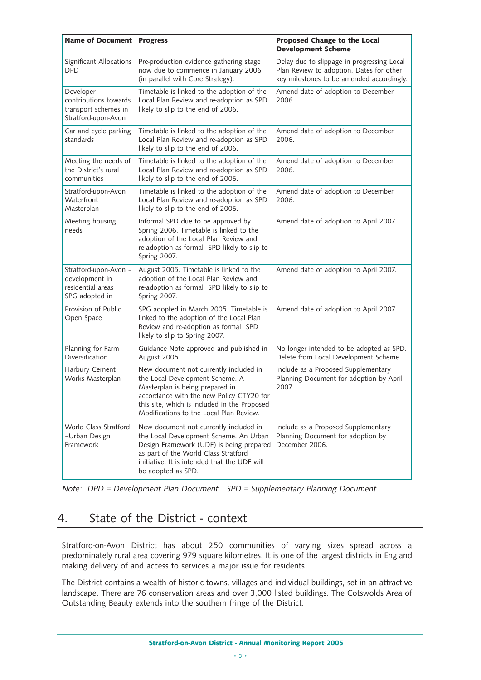| <b>Name of Document</b>                                                           | <b>Progress</b>                                                                                                                                                                                                                                     | <b>Proposed Change to the Local</b><br><b>Development Scheme</b>                                                                    |
|-----------------------------------------------------------------------------------|-----------------------------------------------------------------------------------------------------------------------------------------------------------------------------------------------------------------------------------------------------|-------------------------------------------------------------------------------------------------------------------------------------|
| Significant Allocations<br>DPD                                                    | Pre-production evidence gathering stage<br>now due to commence in January 2006<br>(in parallel with Core Strategy).                                                                                                                                 | Delay due to slippage in progressing Local<br>Plan Review to adoption. Dates for other<br>key milestones to be amended accordingly. |
| Developer<br>contributions towards<br>transport schemes in<br>Stratford-upon-Avon | Timetable is linked to the adoption of the<br>Local Plan Review and re-adoption as SPD<br>likely to slip to the end of 2006.                                                                                                                        | Amend date of adoption to December<br>2006.                                                                                         |
| Car and cycle parking<br>standards                                                | Timetable is linked to the adoption of the<br>Local Plan Review and re-adoption as SPD<br>likely to slip to the end of 2006.                                                                                                                        | Amend date of adoption to December<br>2006.                                                                                         |
| Meeting the needs of<br>the District's rural<br>communities                       | Timetable is linked to the adoption of the<br>Local Plan Review and re-adoption as SPD<br>likely to slip to the end of 2006.                                                                                                                        | Amend date of adoption to December<br>2006.                                                                                         |
| Stratford-upon-Avon<br>Waterfront<br>Masterplan                                   | Timetable is linked to the adoption of the<br>Local Plan Review and re-adoption as SPD<br>likely to slip to the end of 2006.                                                                                                                        | Amend date of adoption to December<br>2006.                                                                                         |
| Meeting housing<br>needs                                                          | Informal SPD due to be approved by<br>Spring 2006. Timetable is linked to the<br>adoption of the Local Plan Review and<br>re-adoption as formal SPD likely to slip to<br>Spring 2007.                                                               | Amend date of adoption to April 2007.                                                                                               |
| Stratford-upon-Avon -<br>development in<br>residential areas<br>SPG adopted in    | August 2005. Timetable is linked to the<br>adoption of the Local Plan Review and<br>re-adoption as formal SPD likely to slip to<br>Spring 2007.                                                                                                     | Amend date of adoption to April 2007.                                                                                               |
| Provision of Public<br>Open Space                                                 | SPG adopted in March 2005. Timetable is<br>linked to the adoption of the Local Plan<br>Review and re-adoption as formal SPD<br>likely to slip to Spring 2007.                                                                                       | Amend date of adoption to April 2007.                                                                                               |
| Planning for Farm<br>Diversification                                              | Guidance Note approved and published in<br>August 2005.                                                                                                                                                                                             | No longer intended to be adopted as SPD.<br>Delete from Local Development Scheme.                                                   |
| Harbury Cement<br>Works Masterplan                                                | New document not currently included in<br>the Local Development Scheme. A<br>Masterplan is being prepared in<br>accordance with the new Policy CTY20 for<br>this site, which is included in the Proposed<br>Modifications to the Local Plan Review. | Include as a Proposed Supplementary<br>Planning Document for adoption by April<br>2007.                                             |
| World Class Stratford<br>-Urban Design<br>Framework                               | New document not currently included in<br>the Local Development Scheme. An Urban<br>Design Framework (UDF) is being prepared<br>as part of the World Class Stratford<br>initiative. It is intended that the UDF will<br>be adopted as SPD.          | Include as a Proposed Supplementary<br>Planning Document for adoption by<br>December 2006.                                          |

Note: DPD = Development Plan Document SPD = Supplementary Planning Document

# 4. State of the District - context

Stratford-on-Avon District has about 250 communities of varying sizes spread across a predominately rural area covering 979 square kilometres. It is one of the largest districts in England making delivery of and access to services a major issue for residents.

The District contains a wealth of historic towns, villages and individual buildings, set in an attractive landscape. There are 76 conservation areas and over 3,000 listed buildings. The Cotswolds Area of Outstanding Beauty extends into the southern fringe of the District.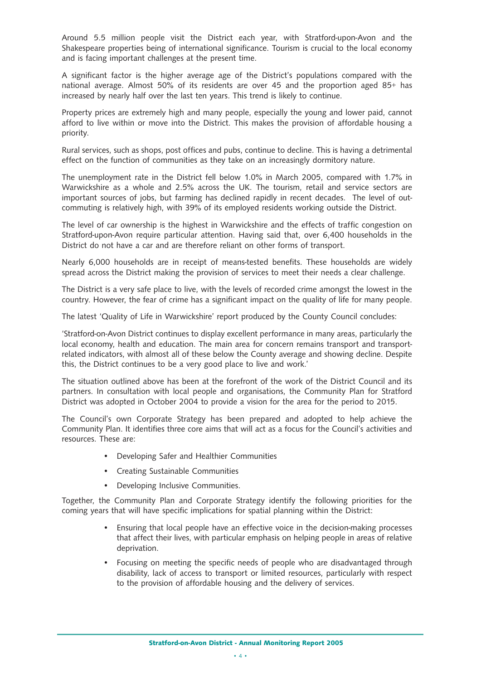Around 5.5 million people visit the District each year, with Stratford-upon-Avon and the Shakespeare properties being of international significance. Tourism is crucial to the local economy and is facing important challenges at the present time.

A significant factor is the higher average age of the District's populations compared with the national average. Almost 50% of its residents are over 45 and the proportion aged 85+ has increased by nearly half over the last ten years. This trend is likely to continue.

Property prices are extremely high and many people, especially the young and lower paid, cannot afford to live within or move into the District. This makes the provision of affordable housing a priority.

Rural services, such as shops, post offices and pubs, continue to decline. This is having a detrimental effect on the function of communities as they take on an increasingly dormitory nature.

The unemployment rate in the District fell below 1.0% in March 2005, compared with 1.7% in Warwickshire as a whole and 2.5% across the UK. The tourism, retail and service sectors are important sources of jobs, but farming has declined rapidly in recent decades. The level of outcommuting is relatively high, with 39% of its employed residents working outside the District.

The level of car ownership is the highest in Warwickshire and the effects of traffic congestion on Stratford-upon-Avon require particular attention. Having said that, over 6,400 households in the District do not have a car and are therefore reliant on other forms of transport.

Nearly 6,000 households are in receipt of means-tested benefits. These households are widely spread across the District making the provision of services to meet their needs a clear challenge.

The District is a very safe place to live, with the levels of recorded crime amongst the lowest in the country. However, the fear of crime has a significant impact on the quality of life for many people.

The latest 'Quality of Life in Warwickshire' report produced by the County Council concludes:

'Stratford-on-Avon District continues to display excellent performance in many areas, particularly the local economy, health and education. The main area for concern remains transport and transportrelated indicators, with almost all of these below the County average and showing decline. Despite this, the District continues to be a very good place to live and work.'

The situation outlined above has been at the forefront of the work of the District Council and its partners. In consultation with local people and organisations, the Community Plan for Stratford District was adopted in October 2004 to provide a vision for the area for the period to 2015.

The Council's own Corporate Strategy has been prepared and adopted to help achieve the Community Plan. It identifies three core aims that will act as a focus for the Council's activities and resources. These are:

- Developing Safer and Healthier Communities
- Creating Sustainable Communities
- Developing Inclusive Communities.

Together, the Community Plan and Corporate Strategy identify the following priorities for the coming years that will have specific implications for spatial planning within the District:

- Ensuring that local people have an effective voice in the decision-making processes that affect their lives, with particular emphasis on helping people in areas of relative deprivation.
- Focusing on meeting the specific needs of people who are disadvantaged through disability, lack of access to transport or limited resources, particularly with respect to the provision of affordable housing and the delivery of services.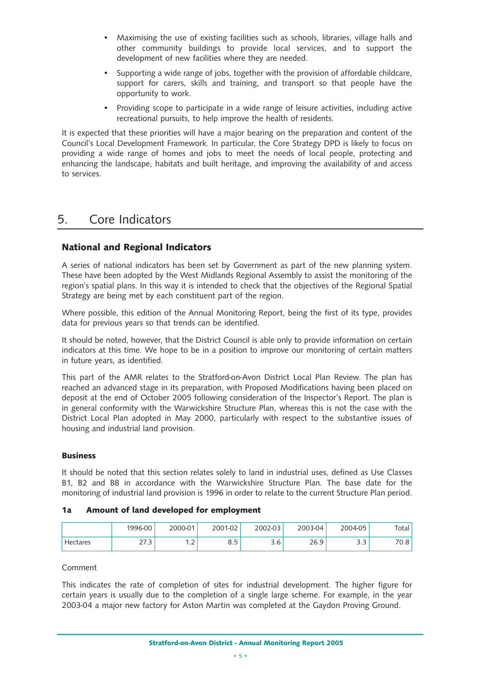- Maximising the use of existing facilities such as schools, libraries, village halls and other community buildings to provide local services, and to support the development of new facilities where they are needed.
- Supporting a wide range of jobs, together with the provision of affordable childcare, support for carers, skills and training, and transport so that people have the opportunity to work.
- Providing scope to participate in a wide range of leisure activities, including active recreational pursuits, to help improve the health of residents.

It is expected that these priorities will have a major bearing on the preparation and content of the Council's Local Development Framework. In particular, the Core Strategy DPD is likely to focus on providing a wide range of homes and jobs to meet the needs of local people, protecting and enhancing the landscape, habitats and built heritage, and improving the availability of and access to services.

# 5. Core Indicators

#### **National and Regional Indicators**

A series of national indicators has been set by Government as part of the new planning system. These have been adopted by the West Midlands Regional Assembly to assist the monitoring of the region's spatial plans. In this way it is intended to check that the objectives of the Regional Spatial Strategy are being met by each constituent part of the region.

Where possible, this edition of the Annual Monitoring Report, being the first of its type, provides data for previous years so that trends can be identified.

It should be noted, however, that the District Council is able only to provide information on certain indicators at this time. We hope to be in a position to improve our monitoring of certain matters in future years, as identified.

This part of the AMR relates to the Stratford-on-Avon District Local Plan Review. The plan has reached an advanced stage in its preparation, with Proposed Modifications having been placed on deposit at the end of October 2005 following consideration of the Inspector's Report. The plan is in general conformity with the Warwickshire Structure Plan, whereas this is not the case with the District Local Plan adopted in May 2000, particularly with respect to the substantive issues of housing and industrial land provision.

#### **Business**

It should be noted that this section relates solely to land in industrial uses, defined as Use Classes B1, B2 and B8 in accordance with the Warwickshire Structure Plan. The base date for the monitoring of industrial land provision is 1996 in order to relate to the current Structure Plan period.

#### **1a Amount of land developed for employment**

|          | 1996-00       | 2000-01 | 2001-02  | 2002-03       | 2003-04 | 2004-05   | Total                            |
|----------|---------------|---------|----------|---------------|---------|-----------|----------------------------------|
| Hectares | つつ つ<br>ر ، ے | ∽<br>.  | Γ<br>◡.◡ | $\sim$<br>3.6 | 26.9    | ົ່<br>ر.ر | $70^{\circ}$<br>$\Omega$<br>′∪.o |

Comment

This indicates the rate of completion of sites for industrial development. The higher figure for certain years is usually due to the completion of a single large scheme. For example, in the year 2003-04 a major new factory for Aston Martin was completed at the Gaydon Proving Ground.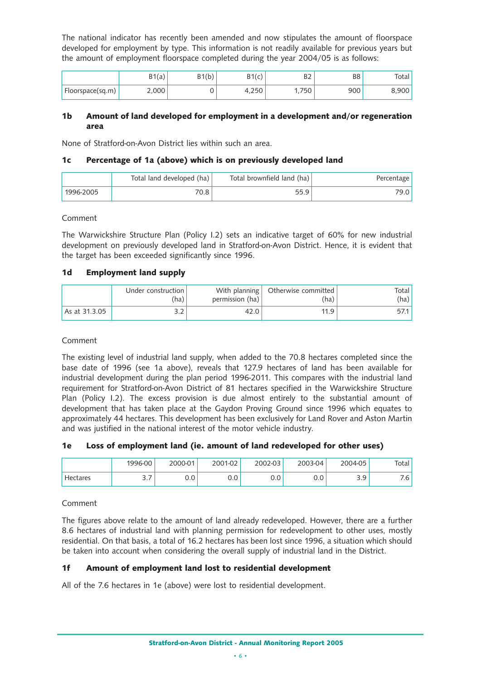The national indicator has recently been amended and now stipulates the amount of floorspace developed for employment by type. This information is not readily available for previous years but the amount of employment floorspace completed during the year 2004/05 is as follows:

|                  | B1(a) | D4/h'<br>י טוו ט | D 1 /<br>$1C$ . | D.<br>⊃∠ | B <sub>8</sub> | Total  |
|------------------|-------|------------------|-----------------|----------|----------------|--------|
| Floorspace(sq.m) | 2,000 |                  | 250ء            | 750<br>. | 900            | 3.900' |

#### **1b Amount of land developed for employment in a development and/or regeneration area**

None of Stratford-on-Avon District lies within such an area.

#### **1c Percentage of 1a (above) which is on previously developed land**

|           | Total land developed (ha) | Total brownfield land (ha) | Percentage |
|-----------|---------------------------|----------------------------|------------|
| 1996-2005 | 70.8                      | 55.9                       | 79.0 i     |

#### Comment

The Warwickshire Structure Plan (Policy I.2) sets an indicative target of 60% for new industrial development on previously developed land in Stratford-on-Avon District. Hence, it is evident that the target has been exceeded significantly since 1996.

#### **1d Employment land supply**

|               | Under construction  <br>(ha) | permission (ha) | With planning   Otherwise committed  <br>(ha) | Total I<br>(ha) |
|---------------|------------------------------|-----------------|-----------------------------------------------|-----------------|
| As at 31.3.05 |                              | 42.0            | 11 Q                                          |                 |

#### Comment

The existing level of industrial land supply, when added to the 70.8 hectares completed since the base date of 1996 (see 1a above), reveals that 127.9 hectares of land has been available for industrial development during the plan period 1996-2011. This compares with the industrial land requirement for Stratford-on-Avon District of 81 hectares specified in the Warwickshire Structure Plan (Policy I.2). The excess provision is due almost entirely to the substantial amount of development that has taken place at the Gaydon Proving Ground since 1996 which equates to approximately 44 hectares. This development has been exclusively for Land Rover and Aston Martin and was justified in the national interest of the motor vehicle industry.

#### **1e Loss of employment land (ie. amount of land redeveloped for other uses)**

|          | 1996-00  | 2000-01       | 2001-02 | 2002-03 | 2003-04 | 2004-05         | Total |
|----------|----------|---------------|---------|---------|---------|-----------------|-------|
| Hectares | -<br>ے ۔ | $0.0^{\circ}$ | 0.0     | 0.0     | v.v     | 3 Q<br><u>.</u> | 7.6 ' |

#### Comment

The figures above relate to the amount of land already redeveloped. However, there are a further 8.6 hectares of industrial land with planning permission for redevelopment to other uses, mostly residential. On that basis, a total of 16.2 hectares has been lost since 1996, a situation which should be taken into account when considering the overall supply of industrial land in the District.

#### **1f Amount of employment land lost to residential development**

All of the 7.6 hectares in 1e (above) were lost to residential development.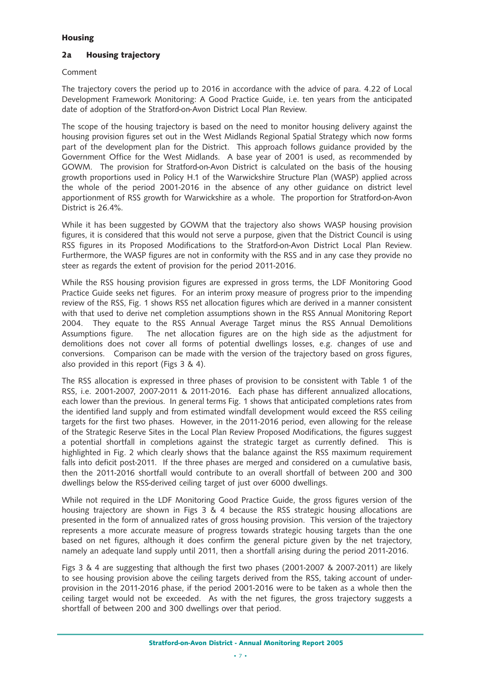#### **Housing**

#### **2a Housing trajectory**

#### Comment

The trajectory covers the period up to 2016 in accordance with the advice of para. 4.22 of Local Development Framework Monitoring: A Good Practice Guide, i.e. ten years from the anticipated date of adoption of the Stratford-on-Avon District Local Plan Review.

The scope of the housing trajectory is based on the need to monitor housing delivery against the housing provision figures set out in the West Midlands Regional Spatial Strategy which now forms part of the development plan for the District. This approach follows guidance provided by the Government Office for the West Midlands. A base year of 2001 is used, as recommended by GOWM. The provision for Stratford-on-Avon District is calculated on the basis of the housing growth proportions used in Policy H.1 of the Warwickshire Structure Plan (WASP) applied across the whole of the period 2001-2016 in the absence of any other guidance on district level apportionment of RSS growth for Warwickshire as a whole. The proportion for Stratford-on-Avon District is 26.4%.

While it has been suggested by GOWM that the trajectory also shows WASP housing provision figures, it is considered that this would not serve a purpose, given that the District Council is using RSS figures in its Proposed Modifications to the Stratford-on-Avon District Local Plan Review. Furthermore, the WASP figures are not in conformity with the RSS and in any case they provide no steer as regards the extent of provision for the period 2011-2016.

While the RSS housing provision figures are expressed in gross terms, the LDF Monitoring Good Practice Guide seeks net figures. For an interim proxy measure of progress prior to the impending review of the RSS, Fig. 1 shows RSS net allocation figures which are derived in a manner consistent with that used to derive net completion assumptions shown in the RSS Annual Monitoring Report 2004. They equate to the RSS Annual Average Target minus the RSS Annual Demolitions Assumptions figure. The net allocation figures are on the high side as the adjustment for demolitions does not cover all forms of potential dwellings losses, e.g. changes of use and conversions. Comparison can be made with the version of the trajectory based on gross figures, also provided in this report (Figs 3 & 4).

The RSS allocation is expressed in three phases of provision to be consistent with Table 1 of the RSS, i.e. 2001-2007, 2007-2011 & 2011-2016. Each phase has different annualized allocations, each lower than the previous. In general terms Fig. 1 shows that anticipated completions rates from the identified land supply and from estimated windfall development would exceed the RSS ceiling targets for the first two phases. However, in the 2011-2016 period, even allowing for the release of the Strategic Reserve Sites in the Local Plan Review Proposed Modifications, the figures suggest a potential shortfall in completions against the strategic target as currently defined. This is highlighted in Fig. 2 which clearly shows that the balance against the RSS maximum requirement falls into deficit post-2011. If the three phases are merged and considered on a cumulative basis, then the 2011-2016 shortfall would contribute to an overall shortfall of between 200 and 300 dwellings below the RSS-derived ceiling target of just over 6000 dwellings.

While not required in the LDF Monitoring Good Practice Guide, the gross figures version of the housing trajectory are shown in Figs 3 & 4 because the RSS strategic housing allocations are presented in the form of annualized rates of gross housing provision. This version of the trajectory represents a more accurate measure of progress towards strategic housing targets than the one based on net figures, although it does confirm the general picture given by the net trajectory, namely an adequate land supply until 2011, then a shortfall arising during the period 2011-2016.

Figs 3 & 4 are suggesting that although the first two phases (2001-2007 & 2007-2011) are likely to see housing provision above the ceiling targets derived from the RSS, taking account of underprovision in the 2011-2016 phase, if the period 2001-2016 were to be taken as a whole then the ceiling target would not be exceeded. As with the net figures, the gross trajectory suggests a shortfall of between 200 and 300 dwellings over that period.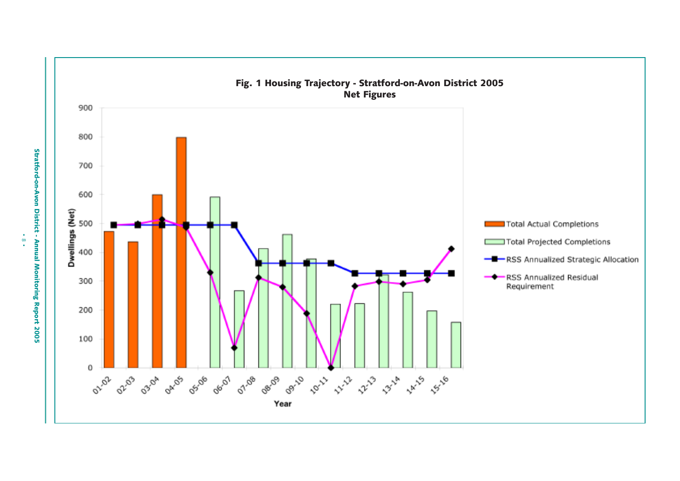

Stratford-on-Avon District - Annual Monitoring Report 2005

 $\ddot{\circ}$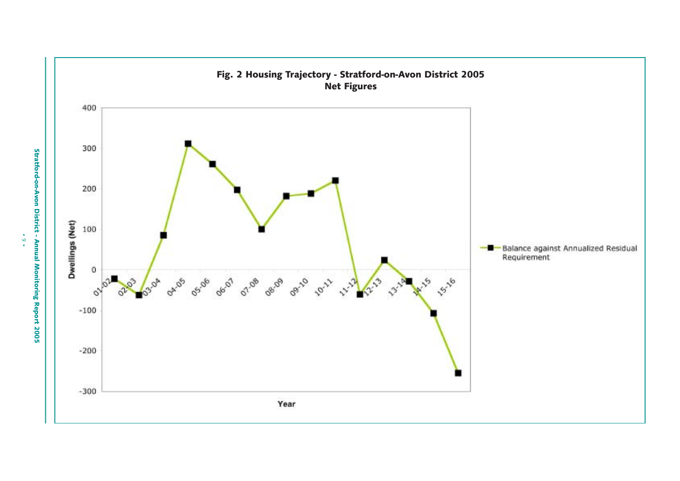

 $\ddot{\cdot}$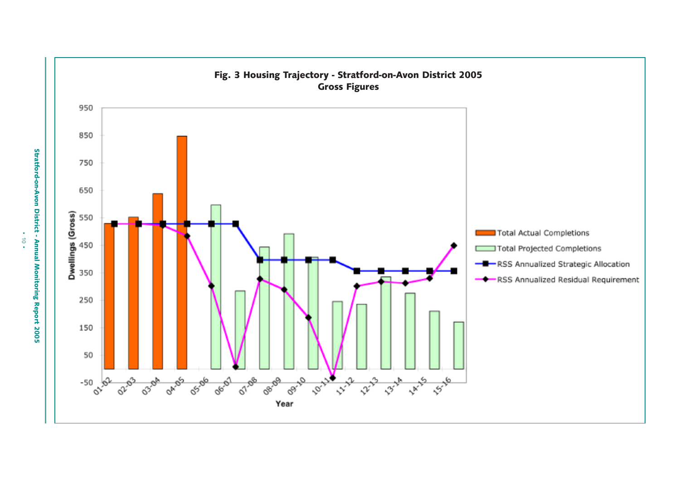

Stratford-on-Avon District - Annual Monitoring Report 2005

 $\vec{0}$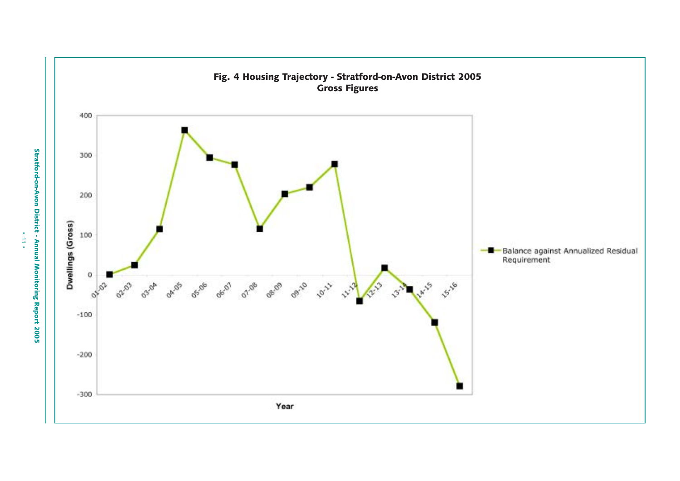

 $\frac{1}{2}$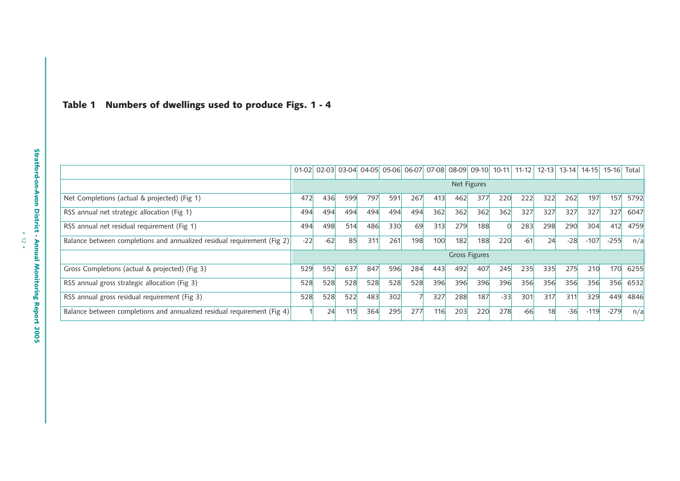|  | Table 1 Numbers of dwellings used to produce Figs. 1 - 4 |  |  |  |  |  |  |  |  |
|--|----------------------------------------------------------|--|--|--|--|--|--|--|--|
|--|----------------------------------------------------------|--|--|--|--|--|--|--|--|

|                                                                         | $01-02$ |       |     |     |     | 02-03 03-04 04-05 05-06 06-07 07-08 08-09 09-10 |     |     |                      | $10-11$ | $11 - 12$ | $12 - 13$ | $13-14$ | $14-15$ | $15-16$ Total |      |
|-------------------------------------------------------------------------|---------|-------|-----|-----|-----|-------------------------------------------------|-----|-----|----------------------|---------|-----------|-----------|---------|---------|---------------|------|
|                                                                         |         |       |     |     |     |                                                 |     |     | Net Figures          |         |           |           |         |         |               |      |
| Net Completions (actual & projected) (Fig 1)                            | 472     | 436   | 599 | 797 | 591 | 267                                             | 413 | 462 | 377                  | 220     | 222       | 322       | 262     | 197     | 157           | 5792 |
| RSS annual net strategic allocation (Fig 1)                             | 494     | 494   | 494 | 494 | 494 | 494                                             | 362 | 362 | 362                  | 362     | 327       | 327       | 327     | 327     | 327           | 6047 |
| RSS annual net residual requirement (Fig 1)                             | 494     | 498   | 514 | 486 | 330 | 69                                              | 313 | 279 | 188                  |         | 283       | 298       | 290     | 304     | 412           | 4759 |
| Balance between completions and annualized residual requirement (Fig 2) | $-22$   | $-62$ | 85  | 311 | 261 | 198                                             | 100 | 182 | 188                  | 220     | $-61$     | 24        | $-28$   | $-107$  | $-255$        | n/a  |
|                                                                         |         |       |     |     |     |                                                 |     |     | <b>Gross Figures</b> |         |           |           |         |         |               |      |
| Gross Completions (actual & projected) (Fig 3)                          | 529     | 552   | 637 | 847 | 596 | 284                                             | 443 | 492 | 407                  | 245     | 235       | 335       | 275     | 210     | 170           | 6255 |
| RSS annual gross strategic allocation (Fig 3)                           | 528     | 528   | 528 | 528 | 528 | 528                                             | 396 | 396 | 396                  | 396     | 356       | 356       | 356     | 356     | 356           | 6532 |
| RSS annual gross residual requirement (Fig 3)                           | 528     | 528   | 522 | 483 | 302 |                                                 | 327 | 288 | 187                  | $-33$   | 301       | 317       | 311     | 329     | 449           | 4846 |
| Balance between completions and annualized residual requirement (Fig 4) |         | 24    | 115 | 364 | 295 | 277                                             | 116 | 203 | 220                  | 278     | $-66$     | 18        | $-36$   | $-119$  | $-279$        | n/a  |

• 12 •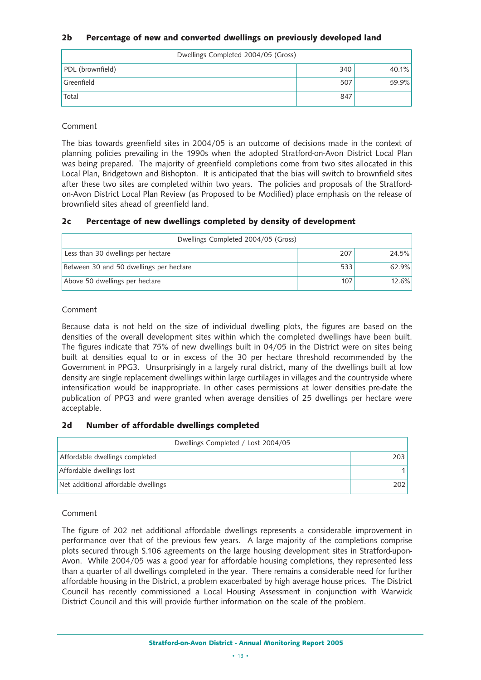#### **2b Percentage of new and converted dwellings on previously developed land**

| Dwellings Completed 2004/05 (Gross) |     |          |  |  |  |  |  |  |  |
|-------------------------------------|-----|----------|--|--|--|--|--|--|--|
| PDL (brownfield)                    | 340 | $40.1\%$ |  |  |  |  |  |  |  |
| Greenfield                          | 507 | 59.9%    |  |  |  |  |  |  |  |
| Total                               | 847 |          |  |  |  |  |  |  |  |

#### Comment

The bias towards greenfield sites in 2004/05 is an outcome of decisions made in the context of planning policies prevailing in the 1990s when the adopted Stratford-on-Avon District Local Plan was being prepared. The majority of greenfield completions come from two sites allocated in this Local Plan, Bridgetown and Bishopton. It is anticipated that the bias will switch to brownfield sites after these two sites are completed within two years. The policies and proposals of the Stratfordon-Avon District Local Plan Review (as Proposed to be Modified) place emphasis on the release of brownfield sites ahead of greenfield land.

#### **2c Percentage of new dwellings completed by density of development**

| Dwellings Completed 2004/05 (Gross)     |     |       |  |  |  |  |  |  |  |
|-----------------------------------------|-----|-------|--|--|--|--|--|--|--|
| Less than 30 dwellings per hectare      | 207 | 24.5% |  |  |  |  |  |  |  |
| Between 30 and 50 dwellings per hectare | 533 | 62.9% |  |  |  |  |  |  |  |
| Above 50 dwellings per hectare          | 107 | 12.6% |  |  |  |  |  |  |  |

#### Comment

Because data is not held on the size of individual dwelling plots, the figures are based on the densities of the overall development sites within which the completed dwellings have been built. The figures indicate that 75% of new dwellings built in 04/05 in the District were on sites being built at densities equal to or in excess of the 30 per hectare threshold recommended by the Government in PPG3. Unsurprisingly in a largely rural district, many of the dwellings built at low density are single replacement dwellings within large curtilages in villages and the countryside where intensification would be inappropriate. In other cases permissions at lower densities pre-date the publication of PPG3 and were granted when average densities of 25 dwellings per hectare were acceptable.

#### **2d Number of affordable dwellings completed**

| Dwellings Completed / Lost 2004/05  |                  |  |  |  |  |  |
|-------------------------------------|------------------|--|--|--|--|--|
| Affordable dwellings completed      | 203 <sub>1</sub> |  |  |  |  |  |
| Affordable dwellings lost           |                  |  |  |  |  |  |
| Net additional affordable dwellings | 2021             |  |  |  |  |  |

#### Comment

The figure of 202 net additional affordable dwellings represents a considerable improvement in performance over that of the previous few years. A large majority of the completions comprise plots secured through S.106 agreements on the large housing development sites in Stratford-upon-Avon. While 2004/05 was a good year for affordable housing completions, they represented less than a quarter of all dwellings completed in the year. There remains a considerable need for further affordable housing in the District, a problem exacerbated by high average house prices. The District Council has recently commissioned a Local Housing Assessment in conjunction with Warwick District Council and this will provide further information on the scale of the problem.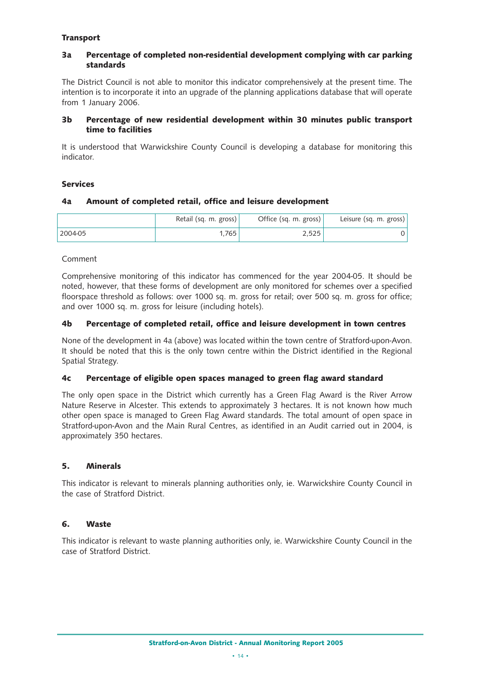#### **Transport**

#### **3a Percentage of completed non-residential development complying with car parking standards**

The District Council is not able to monitor this indicator comprehensively at the present time. The intention is to incorporate it into an upgrade of the planning applications database that will operate from 1 January 2006.

#### **3b Percentage of new residential development within 30 minutes public transport time to facilities**

It is understood that Warwickshire County Council is developing a database for monitoring this indicator.

#### **Services**

#### **4a Amount of completed retail, office and leisure development**

|         | Retail (sq. m. gross) | Office (sq. m. gross) | Leisure (sq. m. gross) $\vert$ |
|---------|-----------------------|-----------------------|--------------------------------|
| 2004-05 | 765 '                 | 2.525                 |                                |

#### Comment

Comprehensive monitoring of this indicator has commenced for the year 2004-05. It should be noted, however, that these forms of development are only monitored for schemes over a specified floorspace threshold as follows: over 1000 sq. m. gross for retail; over 500 sq. m. gross for office; and over 1000 sq. m. gross for leisure (including hotels).

#### **4b Percentage of completed retail, office and leisure development in town centres**

None of the development in 4a (above) was located within the town centre of Stratford-upon-Avon. It should be noted that this is the only town centre within the District identified in the Regional Spatial Strategy.

#### **4c Percentage of eligible open spaces managed to green flag award standard**

The only open space in the District which currently has a Green Flag Award is the River Arrow Nature Reserve in Alcester. This extends to approximately 3 hectares. It is not known how much other open space is managed to Green Flag Award standards. The total amount of open space in Stratford-upon-Avon and the Main Rural Centres, as identified in an Audit carried out in 2004, is approximately 350 hectares.

#### **5. Minerals**

This indicator is relevant to minerals planning authorities only, ie. Warwickshire County Council in the case of Stratford District.

#### **6. Waste**

This indicator is relevant to waste planning authorities only, ie. Warwickshire County Council in the case of Stratford District.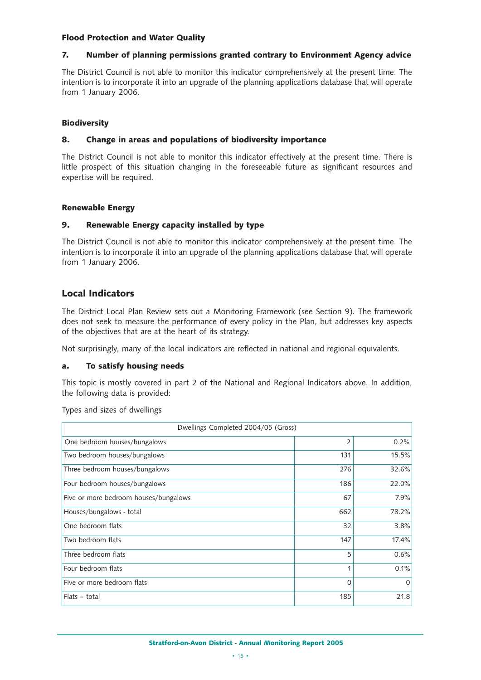#### **Flood Protection and Water Quality**

#### **7. Number of planning permissions granted contrary to Environment Agency advice**

The District Council is not able to monitor this indicator comprehensively at the present time. The intention is to incorporate it into an upgrade of the planning applications database that will operate from 1 January 2006.

#### **Biodiversity**

#### **8. Change in areas and populations of biodiversity importance**

The District Council is not able to monitor this indicator effectively at the present time. There is little prospect of this situation changing in the foreseeable future as significant resources and expertise will be required.

#### **Renewable Energy**

#### **9. Renewable Energy capacity installed by type**

The District Council is not able to monitor this indicator comprehensively at the present time. The intention is to incorporate it into an upgrade of the planning applications database that will operate from 1 January 2006.

#### **Local Indicators**

The District Local Plan Review sets out a Monitoring Framework (see Section 9). The framework does not seek to measure the performance of every policy in the Plan, but addresses key aspects of the objectives that are at the heart of its strategy.

Not surprisingly, many of the local indicators are reflected in national and regional equivalents.

#### **a. To satisfy housing needs**

This topic is mostly covered in part 2 of the National and Regional Indicators above. In addition, the following data is provided:

Types and sizes of dwellings

| Dwellings Completed 2004/05 (Gross)   |     |          |  |  |  |  |
|---------------------------------------|-----|----------|--|--|--|--|
| One bedroom houses/bungalows          | 2   | 0.2%     |  |  |  |  |
| Two bedroom houses/bungalows          | 131 | 15.5%    |  |  |  |  |
| Three bedroom houses/bungalows        | 276 | 32.6%    |  |  |  |  |
| Four bedroom houses/bungalows         | 186 | 22.0%    |  |  |  |  |
| Five or more bedroom houses/bungalows | 67  | 7.9%     |  |  |  |  |
| Houses/bungalows - total              | 662 | 78.2%    |  |  |  |  |
| One bedroom flats                     | 32  | 3.8%     |  |  |  |  |
| Two bedroom flats                     | 147 | 17.4%    |  |  |  |  |
| Three bedroom flats                   | 5   | 0.6%     |  |  |  |  |
| Four bedroom flats                    | 1   | 0.1%     |  |  |  |  |
| Five or more bedroom flats            | 0   | $\Omega$ |  |  |  |  |
| Flats - total                         | 185 | 21.8     |  |  |  |  |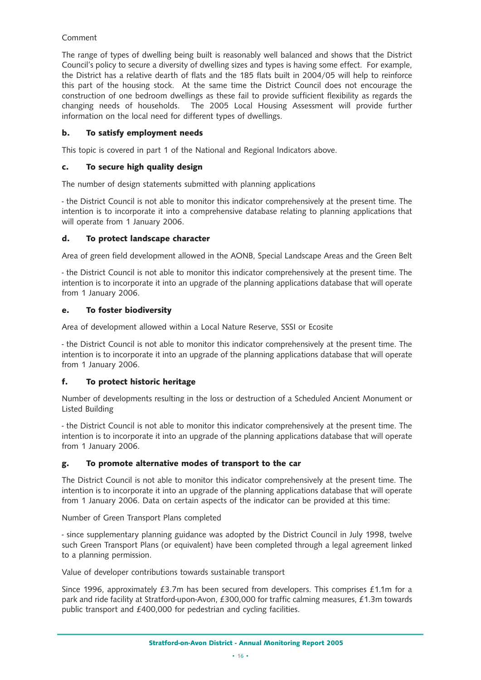#### Comment

The range of types of dwelling being built is reasonably well balanced and shows that the District Council's policy to secure a diversity of dwelling sizes and types is having some effect. For example, the District has a relative dearth of flats and the 185 flats built in 2004/05 will help to reinforce this part of the housing stock. At the same time the District Council does not encourage the construction of one bedroom dwellings as these fail to provide sufficient flexibility as regards the changing needs of households. The 2005 Local Housing Assessment will provide further information on the local need for different types of dwellings.

#### **b. To satisfy employment needs**

This topic is covered in part 1 of the National and Regional Indicators above.

#### **c. To secure high quality design**

The number of design statements submitted with planning applications

- the District Council is not able to monitor this indicator comprehensively at the present time. The intention is to incorporate it into a comprehensive database relating to planning applications that will operate from 1 January 2006.

#### **d. To protect landscape character**

Area of green field development allowed in the AONB, Special Landscape Areas and the Green Belt

- the District Council is not able to monitor this indicator comprehensively at the present time. The intention is to incorporate it into an upgrade of the planning applications database that will operate from 1 January 2006.

#### **e. To foster biodiversity**

Area of development allowed within a Local Nature Reserve, SSSI or Ecosite

- the District Council is not able to monitor this indicator comprehensively at the present time. The intention is to incorporate it into an upgrade of the planning applications database that will operate from 1 January 2006.

#### **f. To protect historic heritage**

Number of developments resulting in the loss or destruction of a Scheduled Ancient Monument or Listed Building

- the District Council is not able to monitor this indicator comprehensively at the present time. The intention is to incorporate it into an upgrade of the planning applications database that will operate from 1 January 2006.

#### **g. To promote alternative modes of transport to the car**

The District Council is not able to monitor this indicator comprehensively at the present time. The intention is to incorporate it into an upgrade of the planning applications database that will operate from 1 January 2006. Data on certain aspects of the indicator can be provided at this time:

Number of Green Transport Plans completed

- since supplementary planning guidance was adopted by the District Council in July 1998, twelve such Green Transport Plans (or equivalent) have been completed through a legal agreement linked to a planning permission.

Value of developer contributions towards sustainable transport

Since 1996, approximately £3.7m has been secured from developers. This comprises £1.1m for a park and ride facility at Stratford-upon-Avon, £300,000 for traffic calming measures, £1.3m towards public transport and £400,000 for pedestrian and cycling facilities.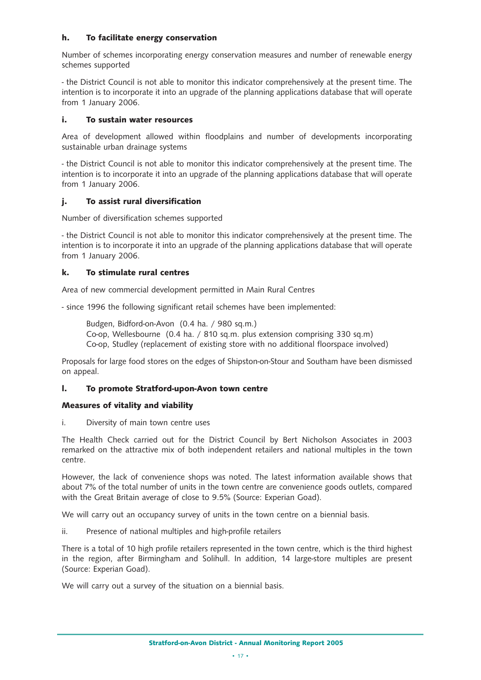#### **h. To facilitate energy conservation**

Number of schemes incorporating energy conservation measures and number of renewable energy schemes supported

- the District Council is not able to monitor this indicator comprehensively at the present time. The intention is to incorporate it into an upgrade of the planning applications database that will operate from 1 January 2006.

#### **i. To sustain water resources**

Area of development allowed within floodplains and number of developments incorporating sustainable urban drainage systems

- the District Council is not able to monitor this indicator comprehensively at the present time. The intention is to incorporate it into an upgrade of the planning applications database that will operate from 1 January 2006.

#### **j. To assist rural diversification**

Number of diversification schemes supported

- the District Council is not able to monitor this indicator comprehensively at the present time. The intention is to incorporate it into an upgrade of the planning applications database that will operate from 1 January 2006.

#### **k. To stimulate rural centres**

Area of new commercial development permitted in Main Rural Centres

- since 1996 the following significant retail schemes have been implemented:

Budgen, Bidford-on-Avon (0.4 ha. / 980 sq.m.) Co-op, Wellesbourne (0.4 ha. / 810 sq.m. plus extension comprising 330 sq.m) Co-op, Studley (replacement of existing store with no additional floorspace involved)

Proposals for large food stores on the edges of Shipston-on-Stour and Southam have been dismissed on appeal.

#### **l. To promote Stratford-upon-Avon town centre**

#### **Measures of vitality and viability**

i. Diversity of main town centre uses

The Health Check carried out for the District Council by Bert Nicholson Associates in 2003 remarked on the attractive mix of both independent retailers and national multiples in the town centre.

However, the lack of convenience shops was noted. The latest information available shows that about 7% of the total number of units in the town centre are convenience goods outlets, compared with the Great Britain average of close to 9.5% (Source: Experian Goad).

We will carry out an occupancy survey of units in the town centre on a biennial basis.

ii. Presence of national multiples and high-profile retailers

There is a total of 10 high profile retailers represented in the town centre, which is the third highest in the region, after Birmingham and Solihull. In addition, 14 large-store multiples are present (Source: Experian Goad).

We will carry out a survey of the situation on a biennial basis.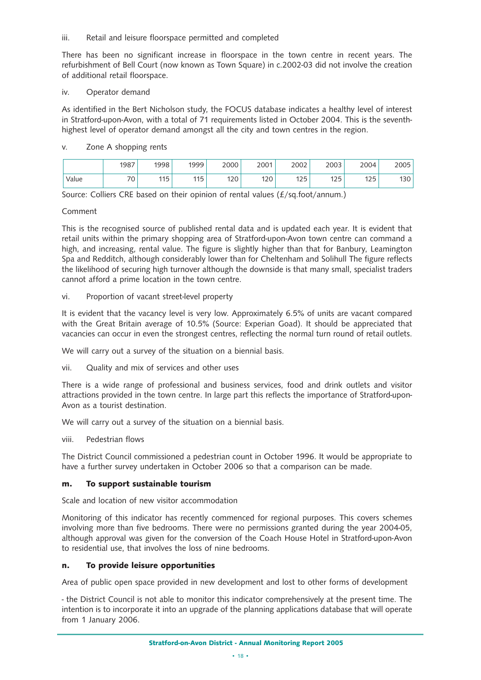#### iii. Retail and leisure floorspace permitted and completed

There has been no significant increase in floorspace in the town centre in recent years. The refurbishment of Bell Court (now known as Town Square) in c.2002-03 did not involve the creation of additional retail floorspace.

#### iv. Operator demand

As identified in the Bert Nicholson study, the FOCUS database indicates a healthy level of interest in Stratford-upon-Avon, with a total of 71 requirements listed in October 2004. This is the seventhhighest level of operator demand amongst all the city and town centres in the region.

#### v. Zone A shopping rents

|       | 1987               | 1998 | 1999 | 2000 | 2001 | 2002         | 2003     | 2004     | 2005 |
|-------|--------------------|------|------|------|------|--------------|----------|----------|------|
| Value | $\neg \wedge$<br>◡ | 115  | 115  | 120  | 120  | 175<br>ر ے ا | 1つに<br>ᇈ | 1つら<br>ᅛ | 130  |

Source: Colliers CRE based on their opinion of rental values (£/sq.foot/annum.)

#### Comment

This is the recognised source of published rental data and is updated each year. It is evident that retail units within the primary shopping area of Stratford-upon-Avon town centre can command a high, and increasing, rental value. The figure is slightly higher than that for Banbury, Leamington Spa and Redditch, although considerably lower than for Cheltenham and Solihull The figure reflects the likelihood of securing high turnover although the downside is that many small, specialist traders cannot afford a prime location in the town centre.

#### vi. Proportion of vacant street-level property

It is evident that the vacancy level is very low. Approximately 6.5% of units are vacant compared with the Great Britain average of 10.5% (Source: Experian Goad). It should be appreciated that vacancies can occur in even the strongest centres, reflecting the normal turn round of retail outlets.

We will carry out a survey of the situation on a biennial basis.

vii. Quality and mix of services and other uses

There is a wide range of professional and business services, food and drink outlets and visitor attractions provided in the town centre. In large part this reflects the importance of Stratford-upon-Avon as a tourist destination.

We will carry out a survey of the situation on a biennial basis.

viii. Pedestrian flows

The District Council commissioned a pedestrian count in October 1996. It would be appropriate to have a further survey undertaken in October 2006 so that a comparison can be made.

#### **m. To support sustainable tourism**

Scale and location of new visitor accommodation

Monitoring of this indicator has recently commenced for regional purposes. This covers schemes involving more than five bedrooms. There were no permissions granted during the year 2004-05, although approval was given for the conversion of the Coach House Hotel in Stratford-upon-Avon to residential use, that involves the loss of nine bedrooms.

#### **n. To provide leisure opportunities**

Area of public open space provided in new development and lost to other forms of development

- the District Council is not able to monitor this indicator comprehensively at the present time. The intention is to incorporate it into an upgrade of the planning applications database that will operate from 1 January 2006.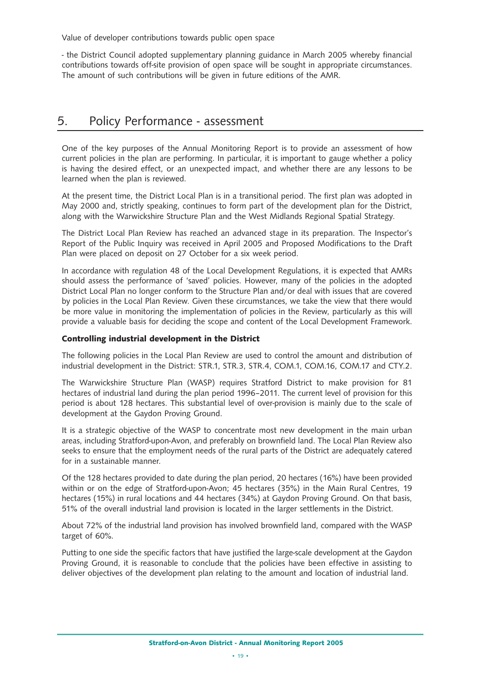Value of developer contributions towards public open space

- the District Council adopted supplementary planning guidance in March 2005 whereby financial contributions towards off-site provision of open space will be sought in appropriate circumstances. The amount of such contributions will be given in future editions of the AMR.

# 5. Policy Performance - assessment

One of the key purposes of the Annual Monitoring Report is to provide an assessment of how current policies in the plan are performing. In particular, it is important to gauge whether a policy is having the desired effect, or an unexpected impact, and whether there are any lessons to be learned when the plan is reviewed.

At the present time, the District Local Plan is in a transitional period. The first plan was adopted in May 2000 and, strictly speaking, continues to form part of the development plan for the District, along with the Warwickshire Structure Plan and the West Midlands Regional Spatial Strategy.

The District Local Plan Review has reached an advanced stage in its preparation. The Inspector's Report of the Public Inquiry was received in April 2005 and Proposed Modifications to the Draft Plan were placed on deposit on 27 October for a six week period.

In accordance with regulation 48 of the Local Development Regulations, it is expected that AMRs should assess the performance of 'saved' policies. However, many of the policies in the adopted District Local Plan no longer conform to the Structure Plan and/or deal with issues that are covered by policies in the Local Plan Review. Given these circumstances, we take the view that there would be more value in monitoring the implementation of policies in the Review, particularly as this will provide a valuable basis for deciding the scope and content of the Local Development Framework.

#### **Controlling industrial development in the District**

The following policies in the Local Plan Review are used to control the amount and distribution of industrial development in the District: STR.1, STR.3, STR.4, COM.1, COM.16, COM.17 and CTY.2.

The Warwickshire Structure Plan (WASP) requires Stratford District to make provision for 81 hectares of industrial land during the plan period 1996–2011. The current level of provision for this period is about 128 hectares. This substantial level of over-provision is mainly due to the scale of development at the Gaydon Proving Ground.

It is a strategic objective of the WASP to concentrate most new development in the main urban areas, including Stratford-upon-Avon, and preferably on brownfield land. The Local Plan Review also seeks to ensure that the employment needs of the rural parts of the District are adequately catered for in a sustainable manner.

Of the 128 hectares provided to date during the plan period, 20 hectares (16%) have been provided within or on the edge of Stratford-upon-Avon; 45 hectares (35%) in the Main Rural Centres, 19 hectares (15%) in rural locations and 44 hectares (34%) at Gaydon Proving Ground. On that basis, 51% of the overall industrial land provision is located in the larger settlements in the District.

About 72% of the industrial land provision has involved brownfield land, compared with the WASP target of 60%.

Putting to one side the specific factors that have justified the large-scale development at the Gaydon Proving Ground, it is reasonable to conclude that the policies have been effective in assisting to deliver objectives of the development plan relating to the amount and location of industrial land.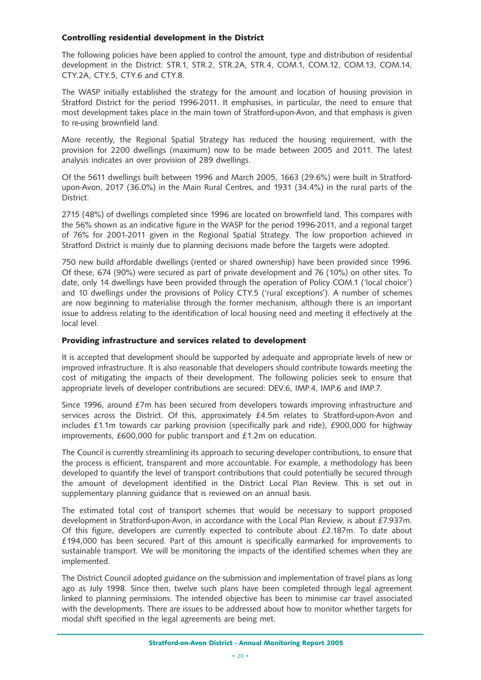#### **Controlling residential development in the District**

The following policies have been applied to control the amount, type and distribution of residential development in the District: STR.1, STR.2, STR.2A, STR.4, COM.1, COM.12, COM.13, COM.14, CTY.2A, CTY.5, CTY.6 and CTY.8.

The WASP initially established the strategy for the amount and location of housing provision in Stratford District for the period 1996-2011. It emphasises, in particular, the need to ensure that most development takes place in the main town of Stratford-upon-Avon, and that emphasis is given to re-using brownfield land.

More recently, the Regional Spatial Strategy has reduced the housing requirement, with the provision for 2200 dwellings (maximum) now to be made between 2005 and 2011. The latest analysis indicates an over provision of 289 dwellings.

Of the 5611 dwellings built between 1996 and March 2005, 1663 (29.6%) were built in Stratfordupon-Avon, 2017 (36.0%) in the Main Rural Centres, and 1931 (34.4%) in the rural parts of the District.

2715 (48%) of dwellings completed since 1996 are located on brownfield land. This compares with the 56% shown as an indicative figure in the WASP for the period 1996-2011, and a regional target of 76% for 2001-2011 given in the Regional Spatial Strategy. The low proportion achieved in Stratford District is mainly due to planning decisions made before the targets were adopted.

750 new build affordable dwellings (rented or shared ownership) have been provided since 1996. Of these, 674 (90%) were secured as part of private development and 76 (10%) on other sites. To date, only 14 dwellings have been provided through the operation of Policy COM.1 ('local choice') and 10 dwellings under the provisions of Policy CTY.5 ('rural exceptions'). A number of schemes are now beginning to materialise through the former mechanism, although there is an important issue to address relating to the identification of local housing need and meeting it effectively at the local level.

#### **Providing infrastructure and services related to development**

It is accepted that development should be supported by adequate and appropriate levels of new or improved infrastructure. It is also reasonable that developers should contribute towards meeting the cost of mitigating the impacts of their development. The following policies seek to ensure that appropriate levels of developer contributions are secured: DEV.6, IMP.4, IMP.6 and IMP.7.

Since 1996, around £7m has been secured from developers towards improving infrastructure and services across the District. Of this, approximately £4.5m relates to Stratford-upon-Avon and includes £1.1m towards car parking provision (specifically park and ride), £900,000 for highway improvements, £600,000 for public transport and £1.2m on education.

The Council is currently streamlining its approach to securing developer contributions, to ensure that the process is efficient, transparent and more accountable. For example, a methodology has been developed to quantify the level of transport contributions that could potentially be secured through the amount of development identified in the District Local Plan Review. This is set out in supplementary planning guidance that is reviewed on an annual basis.

The estimated total cost of transport schemes that would be necessary to support proposed development in Stratford-upon-Avon, in accordance with the Local Plan Review, is about £7.937m. Of this figure, developers are currently expected to contribute about £2.187m. To date about £194,000 has been secured. Part of this amount is specifically earmarked for improvements to sustainable transport. We will be monitoring the impacts of the identified schemes when they are implemented.

The District Council adopted guidance on the submission and implementation of travel plans as long ago as July 1998. Since then, twelve such plans have been completed through legal agreement linked to planning permissions. The intended objective has been to minimise car travel associated with the developments. There are issues to be addressed about how to monitor whether targets for modal shift specified in the legal agreements are being met.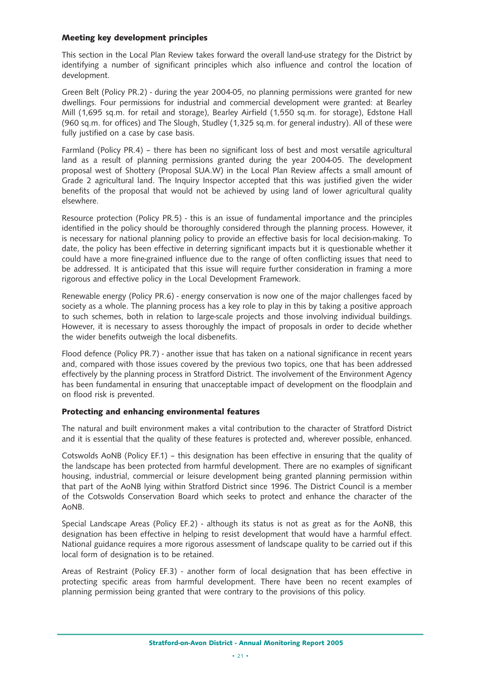#### **Meeting key development principles**

This section in the Local Plan Review takes forward the overall land-use strategy for the District by identifying a number of significant principles which also influence and control the location of development.

Green Belt (Policy PR.2) - during the year 2004-05, no planning permissions were granted for new dwellings. Four permissions for industrial and commercial development were granted: at Bearley Mill (1,695 sq.m. for retail and storage), Bearley Airfield (1,550 sq.m. for storage), Edstone Hall (960 sq.m. for offices) and The Slough, Studley (1,325 sq.m. for general industry). All of these were fully justified on a case by case basis.

Farmland (Policy PR.4) – there has been no significant loss of best and most versatile agricultural land as a result of planning permissions granted during the year 2004-05. The development proposal west of Shottery (Proposal SUA.W) in the Local Plan Review affects a small amount of Grade 2 agricultural land. The Inquiry Inspector accepted that this was justified given the wider benefits of the proposal that would not be achieved by using land of lower agricultural quality elsewhere.

Resource protection (Policy PR.5) - this is an issue of fundamental importance and the principles identified in the policy should be thoroughly considered through the planning process. However, it is necessary for national planning policy to provide an effective basis for local decision-making. To date, the policy has been effective in deterring significant impacts but it is questionable whether it could have a more fine-grained influence due to the range of often conflicting issues that need to be addressed. It is anticipated that this issue will require further consideration in framing a more rigorous and effective policy in the Local Development Framework.

Renewable energy (Policy PR.6) - energy conservation is now one of the major challenges faced by society as a whole. The planning process has a key role to play in this by taking a positive approach to such schemes, both in relation to large-scale projects and those involving individual buildings. However, it is necessary to assess thoroughly the impact of proposals in order to decide whether the wider benefits outweigh the local disbenefits.

Flood defence (Policy PR.7) - another issue that has taken on a national significance in recent years and, compared with those issues covered by the previous two topics, one that has been addressed effectively by the planning process in Stratford District. The involvement of the Environment Agency has been fundamental in ensuring that unacceptable impact of development on the floodplain and on flood risk is prevented.

#### **Protecting and enhancing environmental features**

The natural and built environment makes a vital contribution to the character of Stratford District and it is essential that the quality of these features is protected and, wherever possible, enhanced.

Cotswolds AoNB (Policy EF.1) – this designation has been effective in ensuring that the quality of the landscape has been protected from harmful development. There are no examples of significant housing, industrial, commercial or leisure development being granted planning permission within that part of the AoNB lying within Stratford District since 1996. The District Council is a member of the Cotswolds Conservation Board which seeks to protect and enhance the character of the AoNB.

Special Landscape Areas (Policy EF.2) - although its status is not as great as for the AoNB, this designation has been effective in helping to resist development that would have a harmful effect. National guidance requires a more rigorous assessment of landscape quality to be carried out if this local form of designation is to be retained.

Areas of Restraint (Policy EF.3) - another form of local designation that has been effective in protecting specific areas from harmful development. There have been no recent examples of planning permission being granted that were contrary to the provisions of this policy.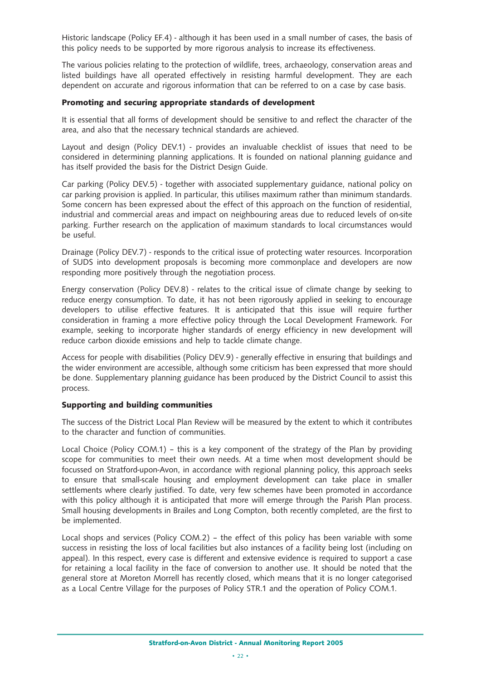Historic landscape (Policy EF.4) - although it has been used in a small number of cases, the basis of this policy needs to be supported by more rigorous analysis to increase its effectiveness.

The various policies relating to the protection of wildlife, trees, archaeology, conservation areas and listed buildings have all operated effectively in resisting harmful development. They are each dependent on accurate and rigorous information that can be referred to on a case by case basis.

#### **Promoting and securing appropriate standards of development**

It is essential that all forms of development should be sensitive to and reflect the character of the area, and also that the necessary technical standards are achieved.

Layout and design (Policy DEV.1) - provides an invaluable checklist of issues that need to be considered in determining planning applications. It is founded on national planning guidance and has itself provided the basis for the District Design Guide.

Car parking (Policy DEV.5) - together with associated supplementary guidance, national policy on car parking provision is applied. In particular, this utilises maximum rather than minimum standards. Some concern has been expressed about the effect of this approach on the function of residential, industrial and commercial areas and impact on neighbouring areas due to reduced levels of on-site parking. Further research on the application of maximum standards to local circumstances would be useful.

Drainage (Policy DEV.7) - responds to the critical issue of protecting water resources. Incorporation of SUDS into development proposals is becoming more commonplace and developers are now responding more positively through the negotiation process.

Energy conservation (Policy DEV.8) - relates to the critical issue of climate change by seeking to reduce energy consumption. To date, it has not been rigorously applied in seeking to encourage developers to utilise effective features. It is anticipated that this issue will require further consideration in framing a more effective policy through the Local Development Framework. For example, seeking to incorporate higher standards of energy efficiency in new development will reduce carbon dioxide emissions and help to tackle climate change.

Access for people with disabilities (Policy DEV.9) - generally effective in ensuring that buildings and the wider environment are accessible, although some criticism has been expressed that more should be done. Supplementary planning guidance has been produced by the District Council to assist this process.

#### **Supporting and building communities**

The success of the District Local Plan Review will be measured by the extent to which it contributes to the character and function of communities.

Local Choice (Policy COM.1) – this is a key component of the strategy of the Plan by providing scope for communities to meet their own needs. At a time when most development should be focussed on Stratford-upon-Avon, in accordance with regional planning policy, this approach seeks to ensure that small-scale housing and employment development can take place in smaller settlements where clearly justified. To date, very few schemes have been promoted in accordance with this policy although it is anticipated that more will emerge through the Parish Plan process. Small housing developments in Brailes and Long Compton, both recently completed, are the first to be implemented.

Local shops and services (Policy COM.2) – the effect of this policy has been variable with some success in resisting the loss of local facilities but also instances of a facility being lost (including on appeal). In this respect, every case is different and extensive evidence is required to support a case for retaining a local facility in the face of conversion to another use. It should be noted that the general store at Moreton Morrell has recently closed, which means that it is no longer categorised as a Local Centre Village for the purposes of Policy STR.1 and the operation of Policy COM.1.